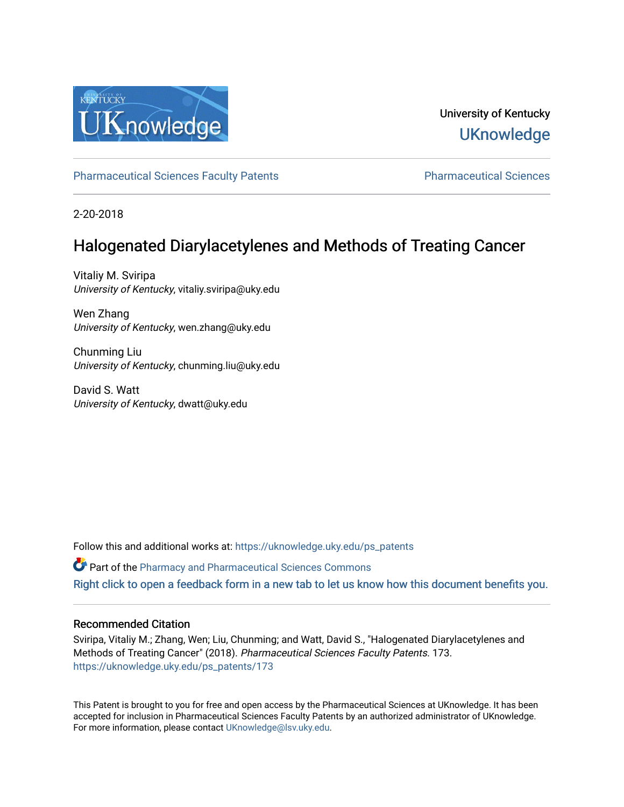

# University of Kentucky **UKnowledge**

[Pharmaceutical Sciences Faculty Patents](https://uknowledge.uky.edu/ps_patents) [Pharmaceutical Sciences](https://uknowledge.uky.edu/ps) 

2-20-2018

# Halogenated Diarylacetylenes and Methods of Treating Cancer

Vitaliy M. Sviripa University of Kentucky, vitaliy.sviripa@uky.edu

Wen Zhang University of Kentucky, wen.zhang@uky.edu

Chunming Liu University of Kentucky, chunming.liu@uky.edu

David S. Watt University of Kentucky, dwatt@uky.edu

Follow this and additional works at: [https://uknowledge.uky.edu/ps\\_patents](https://uknowledge.uky.edu/ps_patents?utm_source=uknowledge.uky.edu%2Fps_patents%2F173&utm_medium=PDF&utm_campaign=PDFCoverPages)

Part of the [Pharmacy and Pharmaceutical Sciences Commons](http://network.bepress.com/hgg/discipline/731?utm_source=uknowledge.uky.edu%2Fps_patents%2F173&utm_medium=PDF&utm_campaign=PDFCoverPages)

[Right click to open a feedback form in a new tab to let us know how this document benefits you.](https://uky.az1.qualtrics.com/jfe/form/SV_9mq8fx2GnONRfz7)

## Recommended Citation

Sviripa, Vitaliy M.; Zhang, Wen; Liu, Chunming; and Watt, David S., "Halogenated Diarylacetylenes and Methods of Treating Cancer" (2018). Pharmaceutical Sciences Faculty Patents. 173. [https://uknowledge.uky.edu/ps\\_patents/173](https://uknowledge.uky.edu/ps_patents/173?utm_source=uknowledge.uky.edu%2Fps_patents%2F173&utm_medium=PDF&utm_campaign=PDFCoverPages)

This Patent is brought to you for free and open access by the Pharmaceutical Sciences at UKnowledge. It has been accepted for inclusion in Pharmaceutical Sciences Faculty Patents by an authorized administrator of UKnowledge. For more information, please contact [UKnowledge@lsv.uky.edu.](mailto:UKnowledge@lsv.uky.edu)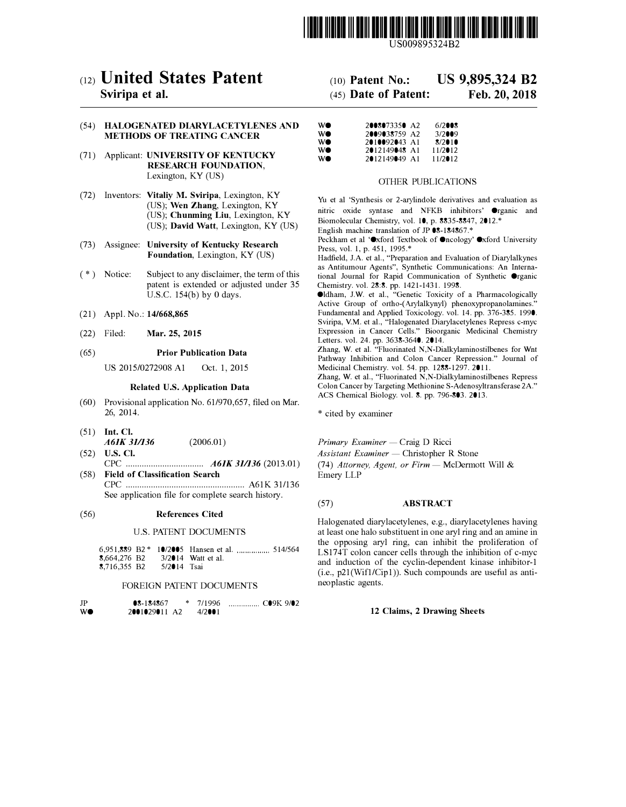

US009895324B2

## c12) **United States Patent**

## **Sviripa et al.**

### (54) **HALOGENATED DIARYLACETYLENES AND METHODS OF TREATING CANCER**

- (71) Applicant: **UNIVERSITY OF KENTUCKY RESEARCH FOUNDATION,**  Lexington, KY (US)
- (72) Inventors: **Vitaliy M. Sviripa,** Lexington, KY (US); **Wen Zhang,** Lexington, KY (US); **Chunming Liu,** Lexington, KY (US); **David Watt,** Lexington, KY (US)
- (73) Assignee: **University of Kentucky Research Foundation,** Lexington, KY (US)
- ( \*) Notice: Subject to any disclaimer, the term of this patent is extended or adjusted under 35 U.S.C. 154(b) by O days.
- (21) Appl. No.: **14/668,865**
- (22) Filed: **Mar. 25, 2015**

### (65) **Prior Publication Data**

US 2015/0272908 Al Oct. 1, 2015

### **Related U.S. Application Data**

- (60) Provisional application No. 61/970,657, filed on Mar. 26, 2014.
- (51) **Int. Cl.**  *A61K 31/136*
- (52) **U.S. Cl.**  CPC .................................. *A61K 31/136* (2013.01)

(2006.01)

(58) **Field of Classification Search**  CPC .................................................... A61K 31/136 See application file for complete search history.

### (56) **References Cited**

### U.S. PATENT DOCUMENTS

6,951,889 B2 \* 10/2005 Hansen et al. 514/564 **8,664,276 B2** 3/2014 Watt et al.<br>**8.716.355 B2** 5/2014 Tsai 8,716,355 B2

### FOREIGN PATENT DOCUMENTS

| JP | $8 - 184867$  |  | $*$ 7/1996 |  |
|----|---------------|--|------------|--|
| WO | 2001029011 A2 |  | 4/2001     |  |

# (IO) **Patent No.: US 9,895,324 B2**

## (45) **Date of Patent: Feb.20,2018**

| WO | 2008073350 A2 | 6/2008     |
|----|---------------|------------|
| WO | 2009038759 A2 | 3/2009     |
| WO | 2010092043 A1 | 8/2010     |
| WO | 2012149048 A1 | $11/2$ 012 |
| WO | 2012149049 A1 | $11/2$ 012 |

### OTHER PUBLICATIONS

Yu et al 'Synthesis or 2-arylindole derivatives and evaluation as nitric oxide syntase and NFKB inhibitors' Organic and Biomolecular Chemistry, vol. 10, p. 8835-8847, 2012.\* English machine translation of JP 08-184867. \*

Peckham et al 'Oxford Textbook of Oncology' Oxford University Press, vol. 1, p. 451, 1995.\*

Hadfield, J.A. et al., "Preparation and Evaluation of Diarylalkynes as Antitumour Agents", Synthetic Communications: An International Journal for Rapid Communication of Synthetic Organic Chemistry. vol. 28:8. pp. 1421-1431. 1998.

Oldham, J.W. et al., "Genetic Toxicity of a Pharmacologically Active Group of ortho-(Arylalkynyl) phenoxypropanolamines." Fundamental and Applied Toxicology. vol. 14. pp. 376-385. 1990. Sviripa, V.M. et al., "Halogenated Diarylacetylenes Repress c-myc Expression in Cancer Cells." Bioorganic Medicinal Chemistry Letters. vol. 24. pp. 3638-3640. 2014.

Zhang, W. et al. "Fluorinated N,N-Dialkylaminostilbenes for Wnt Pathway Inhibition and Colon Cancer Repression." Journal of Medicinal Chemistry. vol. 54. pp. 1288-1297. 2011.

Zhang, W. et al., "Fluorinated N,N-Dialkylaminostilbenes Repress Colon Cancer by Targeting Methionine S-Adenosyltransferase 2A." ACS Chemical Biology. vol. 8. pp. 796-803. 2013.

\* cited by examiner

*Primary Examiner* - Craig D Ricci

*Assistant Examiner* - Christopher R Stone (74) Attorney, Agent, or Firm - McDermott Will & Emery LLP

### (57) **ABSTRACT**

Halogenated diarylacetylenes, e.g., diarylacetylenes having at least one halo substituent in one aryl ring and an amine in the opposing aryl ring, can inhibit the proliferation of LS174T colon cancer cells through the inhibition of c-myc and induction of the cyclin-dependent kinase inhibitor-I (i.e., p21(Wifl/Cipl)). Such compounds are useful as antineoplastic agents.

### **12 Claims, 2 Drawing Sheets**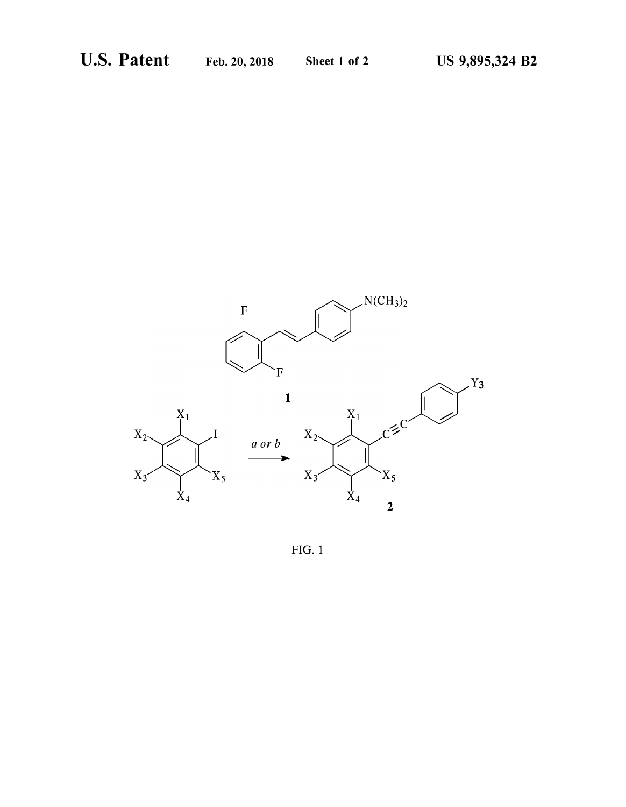

 $FIG. 1$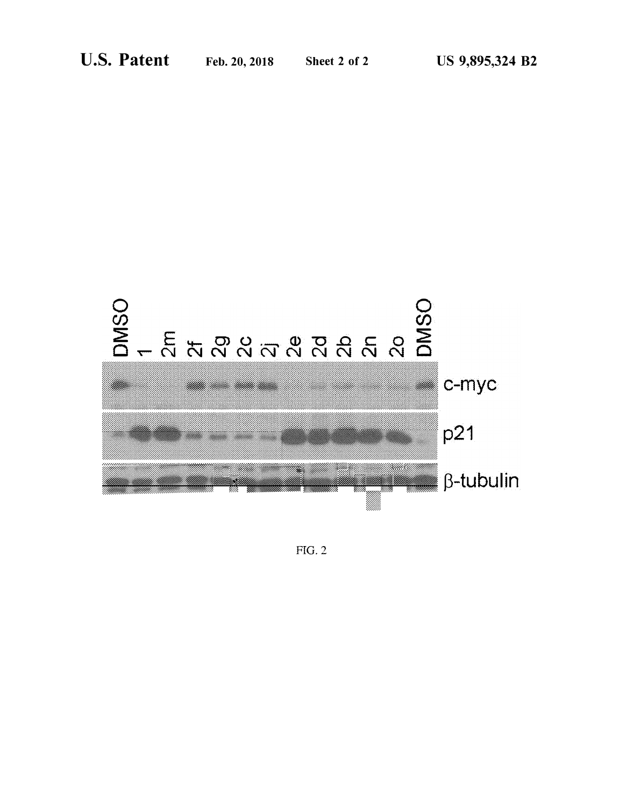

 $FIG. 2$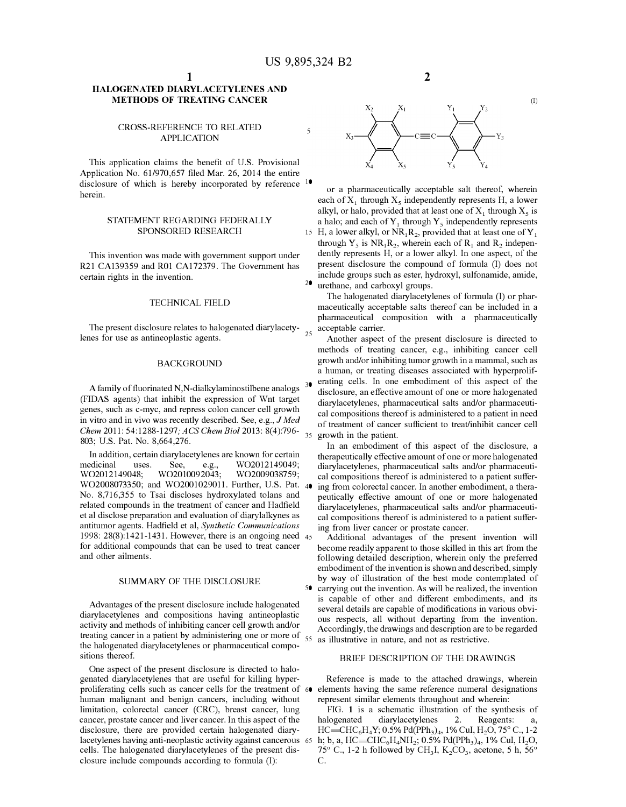### **HALOGENATED DIARYLACETYLENES AND METHODS OF TREATING CANCER**

### CROSS-REFERENCE TO RELATED APPLICATION

This application claims the benefit of U.S. Provisional Application No. 61/970,657 filed Mar. 26, 2014 the entire disclosure of which is hereby incorporated by reference <sup>10</sup> herein.

### STATEMENT REGARDING FEDERALLY SPONSORED RESEARCH

This invention was made with govermnent support under R21 CA139359 and R01 CA172379. The Government has certain rights in the invention.

### TECHNICAL FIELD

The present disclosure relates to halogenated diarylacetylenes for use as antineoplastic agents.

### BACKGROUND

A family of fluorinated N,N-dialkylaminostilbene analogs <sup>30</sup> (FIDAS agents) that inhibit the expression of Wnt target genes, such as c-myc, and repress colon cancer cell growth in vitro and in vivo was recently described. See, e.g., *J Med Chem* 2011: 54:1288-1297; *ACS Chem Biol* 2013: 8(4):796- 803; U.S. Pat. No. 8,664,276.

In addition, certain diarylacetylenes are known for certain medicinal uses. See, e.g., W02012149049; W02012149048; W02010092043; W02009038759; W02008073350; and W02001029011. Further, U.S. Pat. No. 8,716,355 to Tsai discloses hydroxylated tolans and related compounds in the treatment of cancer and Hadfield et al disclose preparation and evaluation of diarylalkynes as cal compositions thereof is administered to a patient sufferantitumor agents. Hadfield et al, *Synthetic Communications*  1998: 28(8):1421-1431. However, there is an ongoing need 45 for additional compounds that can be used to treat cancer and other ailments.

Advantages of the present disclosure include halogenated diarylacetylenes and compositions having antineoplastic activity and methods of inhibiting cancer cell growth and/or treating cancer in a patient by administering one or more of the halogenated diarylacetylenes or pharmaceutical compositions thereof.

One aspect of the present disclosure is directed to halogenated diarylacetylenes that are useful for killing hyperproliferating cells such as cancer cells for the treatment of 60 elements having the same reference numeral designations human malignant and benign cancers, including without limitation, colorectal cancer (CRC), breast cancer, lung cancer, prostate cancer and liver cancer. In this aspect of the disclosure, there are provided certain halogenated diarylacetylenes having anti-neoplastic activity against cancerous 65 cells. The halogenated diarylacetylenes of the present disclosure include compounds according to formula (I):



**2** 

or a pharmaceutically acceptable salt thereof, wherein each of  $X_1$  through  $X_5$  independently represents H, a lower alkyl, or halo, provided that at least one of  $X_1$  through  $X_5$  is a halo; and each of  $Y_1$  through  $Y_5$  independently represents 15 H, a lower alkyl, or  $\text{NR}_1 \text{R}_2$ , provided that at least one of  $\text{Y}_1$ through  $Y_5$  is  $NR_1R_2$ , wherein each of  $R_1$  and  $R_2$  independently represents H, or a lower alkyl. In one aspect, of the present disclosure the compound of formula (I) does not include groups such as ester, hydroxyl, sulfonamide, amide, <sup>20</sup> urethane, and carboxyl groups.

The halogenated diarylacetylenes of formula (I) or pharmaceutically acceptable salts thereof can be included in a pharmaceutical composition with a pharmaceutically acceptable carrier.

Another aspect of the present disclosure is directed to methods of treating cancer, e.g., inhibiting cancer cell growth and/or inhibiting tumor growth in a mammal, such as a human, or treating diseases associated with hyperproliferating cells. In one embodiment of this aspect of the disclosure, an effective amount of one or more halogenated diarylacetylenes, pharmaceutical salts and/or pharmaceutical compositions thereof is administered to a patient in need of treatment of cancer sufficient to treat/inhibit cancer cell 35 growth in the patient.

In an embodiment of this aspect of the disclosure, a therapeutically effective amount of one or more halogenated diarylacetylenes, pharmaceutical salts and/or pharmaceutical compositions thereof is administered to a patient suffering from colorectal cancer. In another embodiment, a therapeutically effective amount of one or more halogenated diarylacetylenes, pharmaceutical salts and/or pharmaceutiing from liver cancer or prostate cancer.

Additional advantages of the present invention will become readily apparent to those skilled in this art from the following detailed description, wherein only the preferred embodiment of the invention is shown and described, simply SUMMARY OF THE DISCLOSURE by way of illustration of the best mode contemplated of 50 carrying out the invention. As will be realized, the invention is capable of other and different embodiments, and its several details are capable of modifications in various obvious respects, all without departing from the invention. Accordingly, the drawings and description are to be regarded 55 as illustrative in nature, and not as restrictive.

### BRIEF DESCRIPTION OF THE DRAWINGS

Reference is made to the attached drawings, wherein represent similar elements throughout and wherein:

FIG. 1 is a schematic illustration of the synthesis of halogenated diarylacetylenes 2. Reagents: a,  $HC = CHC_6H_4Y; 0.5\% \ Pd(PPh_3)_4$ , 1% CuI,  $H_2O$ , 75° C., 1-2 h; b, a, HC $\equiv$ CHC<sub>6</sub>H<sub>4</sub>NH<sub>2</sub>; 0.5% Pd(PPh<sub>3</sub>)<sub>4</sub>, 1% CuI, H<sub>2</sub>O, 75° C., 1-2 h followed by CH<sub>3</sub>I, K<sub>2</sub>CO<sub>3</sub>, acetone, 5 h, 56° C.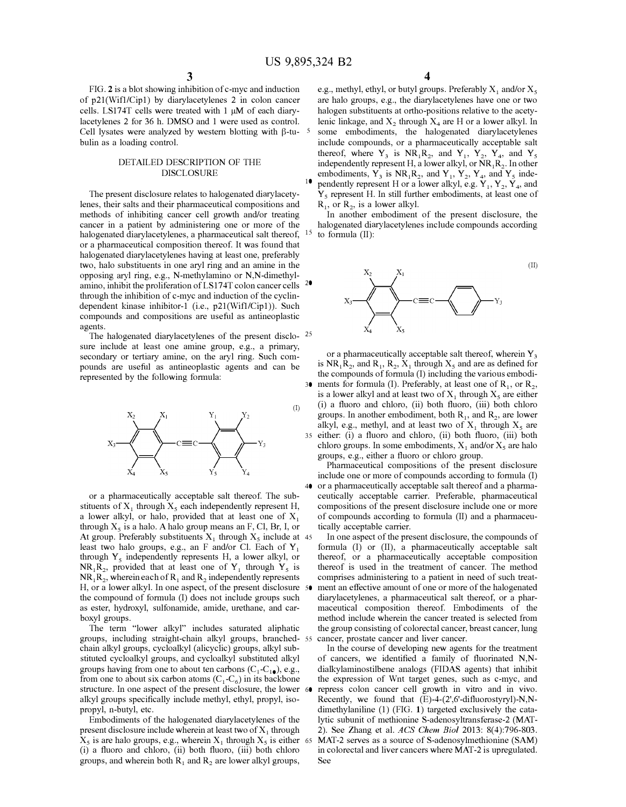FIG. 2 is a blot showing inhibition of c-myc and induction of p21(Wifl/Cipl) by diarylacetylenes 2 in colon cancer cells. LS174T cells were treated with 1 µM of each diarylacetylenes 2 for 36 h. DMSO and 1 were used as control. Cell lysates were analyzed by western blotting with  $\beta$ -tu- <sup>5</sup> bulin as a loading control.

### DETAILED DESCRIPTION OF THE DISCLOSURE

The present disclosure relates to halogenated diarylacetylenes, their salts and their pharmaceutical compositions and methods of inhibiting cancer cell growth and/or treating cancer in a patient by administering one or more of the halogenated diarylacetylenes, a pharmaceutical salt thereof, or a pharmaceutical composition thereof. It was found that halogenated diarylacetylenes having at least one, preferably two, halo substituents in one aryl ring and an amine in the opposing aryl ring, e.g., N-methylamino or N,N-dimethylamino, inhibit the proliferation of LS174T colon cancer cells through the inhibition of c-myc and induction of the cyclindependent kinase inhibitor-I (i.e., p21(Wifl/Cipl)). Such compounds and compositions are useful as antineoplastic agents.

The halogenated diarylacetylenes of the present disclo- <sup>25</sup> sure include at least one amine group, e.g., a primary, secondary or tertiary amine, on the aryl ring. Such compounds are useful as antineoplastic agents and can be represented by the following formula:



or a pharmaceutically acceptable salt thereof. The substituents of  $X_1$  through  $X_5$  each independently represent H, a lower alkyl, or halo, provided that at least one of  $X_1$ through  $X_5$  is a halo. A halo group means an F, Cl, Br, I, or At group. Preferably substituents  $X_1$  through  $X_5$  include at 45 least two halo groups, e.g., an F and/or Cl. Each of  $Y_1$ through  $Y_5$  independently represents H, a lower alkyl, or  $NR_1R_2$ , provided that at least one of  $Y_1$  through  $Y_5$  is  ${\rm NR}_1{\rm R}_2,$  wherein each of  ${\rm R}_1$  and  ${\rm R}_2$  independently represents H, or a lower alkyl. In one aspect, of the present disclosure 50 the compound of formula (I) does not include groups such as ester, hydroxyl, sulfonamide, amide, urethane, and carboxyl groups.

The term "lower alkyl" includes saturated aliphatic groups, including straight-chain alkyl groups, branched- 55 chain alkyl groups, cycloalkyl (alicyclic) groups, alkyl substituted cycloalkyl groups, and cycloalkyl substituted alkyl groups having from one to about ten carbons  $(C_1-C_1)$ , e.g., from one to about six carbon atoms  $(C_1-C_6)$  in its backbone structure. In one aspect of the present disclosure, the lower 60 alkyl groups specifically include methyl, ethyl, propyl, isopropyl, n-butyl, etc.

Embodiments of the halogenated diarylacetylenes of the present disclosure include wherein at least two of  $X_1$  through  $X_5$  is are halo groups, e.g., wherein  $X_1$  through  $X_5$  is either 65 (i) a fluoro and chloro, (ii) both fluoro, (iii) both chloro groups, and wherein both  $R_1$  and  $R_2$  are lower alkyl groups,

e.g., methyl, ethyl, or butyl groups. Preferably  $X_1$  and/or  $X_5$ are halo groups, e.g., the diarylacetylenes have one or two halogen substituents at ortho-positions relative to the acetylenic linkage, and  $X_2$  through  $X_4$  are H or a lower alkyl. In some embodiments, the halogenated diarylacetylenes include compounds, or a pharmaceutically acceptable salt thereof, where  $Y_3$  is  $NR_1R_2$ , and  $Y_1$ ,  $Y_2$ ,  $Y_4$ , and  $Y_5$ independently represent H, a lower alkyl, or  $NR_1R_2$ . In other embodiments,  $Y_3$  is  $NR_1R_2$ , and  $Y_1$ ,  $Y_2$ ,  $Y_4$ , and  $Y_5$  inde-<sup>10</sup> pendently represent H or a lower alkyl, e.g.  $\dot{Y}_1$ ,  $Y_2$ ,  $\dot{Y}_4$ , and  $Y<sub>5</sub>$  represent H. In still further embodiments, at least one of

 $R_1$ , or  $R_2$ , is a lower alkyl.

In another embodiment of the present disclosure, the halogenated diarylacetylenes include compounds according  $15$  to formula (II):



(II)

or a pharmaceutically acceptable salt thereof, wherein  $Y_3$ is  $NR_1R_2$ , and  $R_1$ ,  $R_2$ ,  $X_1$  through  $X_5$  and are as defined for the compounds of formula (I) including the various embodi-30 ments for formula (I). Preferably, at least one of  $R_1$ , or  $R_2$ , is a lower alkyl and at least two of  $X_1$  through  $X_5$  are either (i) a fluoro and chloro, (ii) both fluoro, (iii) both chloro groups. In another embodiment, both  $R_1$ , and  $R_2$ , are lower alkyl, e.g., methyl, and at least two of  $X_1$  through  $X_5$  are 35 either: (i) a fluoro and chloro, (ii) both fluoro, (iii) both chloro groups. In some embodiments,  $X_1$  and/or  $X_5$  are halo groups, e.g., either a fluoro or chloro group.

Pharmaceutical compositions of the present disclosure include one or more of compounds according to formula (I) 40 or a pharmaceutically acceptable salt thereof and a pharmaceutically acceptable carrier. Preferable, pharmaceutical compositions of the present disclosure include one or more of compounds according to formula (II) and a pharmaceutically acceptable carrier.

In one aspect of the present disclosure, the compounds of formula (I) or (II), a pharmaceutically acceptable salt thereof, or a pharmaceutically acceptable composition thereof is used in the treatment of cancer. The method comprises administering to a patient in need of such treatment an effective amount of one or more of the halogenated diarylacetylenes, a pharmaceutical salt thereof, or a pharmaceutical composition thereof. Embodiments of the method include wherein the cancer treated is selected from the group consisting of colorectal cancer, breast cancer, lung cancer, prostate cancer and liver cancer.

In the course of developing new agents for the treatment of cancers, we identified a family of fluorinated N,Ndialkylaminostilbene analogs (FIDAS agents) that inhibit the expression of Wnt target genes, such as c-myc, and repress colon cancer cell growth in vitro and in vivo. Recently, we found that  $(E)$ -4- $(2^{\prime},6^{\prime}$ -difluorostyryl)-N,Ndimethylaniline (1) (FIG. 1) targeted exclusively the catalytic subunit of methionine S-adenosyltransferase-2 (MAT-2). See Zhang et al. *ACS Chem Biol* 2013: 8(4):796-803. MAT-2 serves as a source of S-adenosylmethionine (SAM) in colorectal and liver cancers where MAT-2 is upregulated. See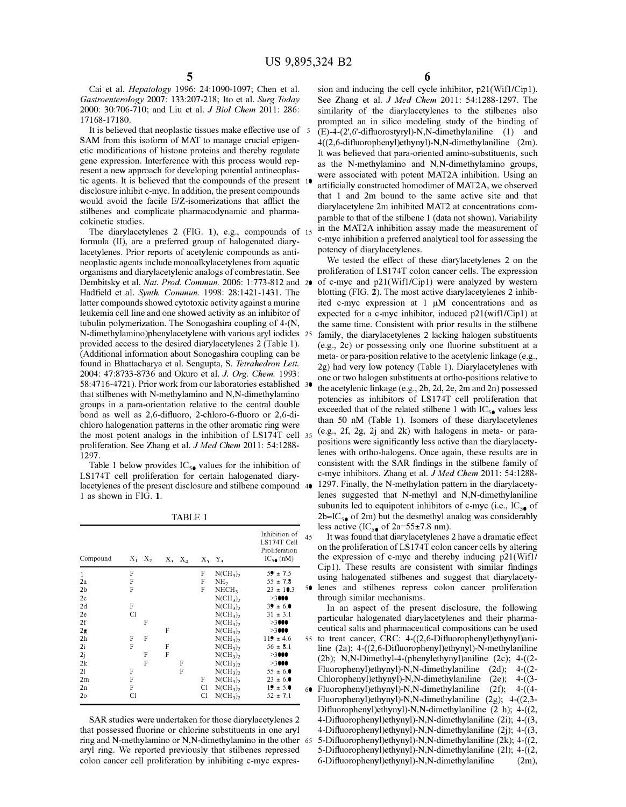Cai et al. *Hepatology* 1996: 24:1090-1097; Chen et al. *Gastroenterology* 2007: 133:207-218; Ito et al. *Surg Today*  2000: 30:706-710; and Liu et al. *J Biol Chem* 2011: 286: 17168-17180.

It is believed that neoplastic tissues make effective use of 5 SAM from this isoform of MAT to manage crucial epigenetic modifications of histone proteins and thereby regulate gene expression. Interference with this process would represent a new approach for developing potential antineoplastic agents. It is believed that the compounds of the present 10 disclosure inhibit c-myc. In addition, the present compounds would avoid the facile E/Z-isomerizations that afflict the stilbenes and complicate pharmacodynamic and pharmacokinetic studies.

The diarylacetylenes 2 (FIG. 1), e.g., compounds of 15 formula (II), are a preferred group of halogenated diarylacetylenes. Prior reports of acetylenic compounds as antineoplastic agents include monoalkylacetylenes from aquatic organisms and diarylacetylenic analogs of combrestatin. See Dembitsky et al. *Nat. Prod. Commun.* 2006: 1:773-812 and Hadfield et al. *Synth. Commun.* 1998: 28:1421-1431. The latter compounds showed cytotoxic activity against a murine leukemia cell line and one showed activity as an inhibitor of tubulin polymerization. The Sonogashira coupling of 4-(N, N-dimethylamino )phenylacetylene with various aryl iodides provided access to the desired diarylacetylenes 2 (Table 1). (Additional information about Sonogashira coupling can be found in Bhattacharya et al. Sengupta, S. *Tetrahedron Lett.* 2004: 47:8733-8736 and Okura et al. *J. Org. Chem.* 1993: 58:4716-4721 ). Prior work from our laboratories established that stilbenes with N-methylamino and N,N-dimethylamino groups in a para-orientation relative to the central double bond as well as 2,6-difluoro, 2-chloro-6-fluoro or 2,6-dichloro halogenation patterns in the other aromatic ring were the most potent analogs in the inhibition of LS174T cell 35 proliferation. See Zhang et al. *J Med Chem* 2011: 54:1288- 1297.

Table 1 below provides  $IC_{5\bullet}$  values for the inhibition of LS174T cell proliferation for certain halogenated diarylacetylenes of the present disclosure and stilbene compound 40 1 as shown in FIG. 1.

TABLE 1

| Compound       |    | $X_1$ $X_2$ |   | $X_3$ $X_4$ |    | $X_5$ $Y_3$       | Inhibition of<br>LS174T Cell<br>Proliferation<br>$IC_{5\bullet}(nM)$ | 45 |
|----------------|----|-------------|---|-------------|----|-------------------|----------------------------------------------------------------------|----|
| $\mathbf{1}$   | F  |             |   |             | F  | $N(CH_3)$         | $59 \pm 7.5$                                                         |    |
| 2a             | F  |             |   |             | F  | NH <sub>2</sub>   | $55 \pm 7.8$                                                         |    |
| 2 <sub>b</sub> | F  |             |   |             | F  | NHCH <sub>3</sub> | $23 \pm 10.3$                                                        | 50 |
| 2c             |    |             |   |             |    | $N(CH_3)$         | >3000                                                                |    |
| 2d             | F  |             |   |             |    | $N(CH_3)$         | $39 \pm 6.0$                                                         |    |
| 2e             | C1 |             |   |             |    | $N(CH_3)$         | $31 \pm 3.1$                                                         |    |
| 2f             |    | F           |   |             |    | $N(CH_3)_2$       | >3000                                                                |    |
| 2g             |    |             | F |             |    | $N(CH_3)$         | >3000                                                                |    |
| 2 <sub>h</sub> | F  | F           |   |             |    | $N(CH_3)$         | $119 \pm 4.6$                                                        | 55 |
| 2i             | F  |             | F |             |    | $N(CH_3)$         | $56 \pm 8.1$                                                         |    |
| 2i             |    | F           | F |             |    | $N(CH_3)_2$       | >3000                                                                |    |
| 2k             |    | F           |   | F           |    | $N(CH_3)_2$       | >3000                                                                |    |
| 21             | F  |             |   | F           |    | $N(CH_3)$         | $55 \pm 6.0$                                                         |    |
| 2m             | F  |             |   |             | F  | $N(CH_3)$         | $23 \pm 6.0$                                                         |    |
| 2n             | F  |             |   |             | Cl | $N(CH_3)$         | $19 \pm 5.0$                                                         | 60 |
| 20             | Cl |             |   |             | C1 | $N(CH_3)_2$       | $52 \pm 7.1$                                                         |    |

SAR studies were undertaken for those diarylacetylenes 2 that possessed fluorine or chlorine substituents in one aryl ring and N-methylamino or N,N-dimethylamino in the other aryl ring. We reported previously that stilbenes repressed colon cancer cell proliferation by inhibiting c-myc expres6

sion and inducing the cell cycle inhibitor, p21(Wifl/Cipl). See Zhang et al. *J Med Chem* 2011: 54:1288-1297. The similarity of the diarylacetylenes to the stilbenes also prompted an in silico modeling study of the binding of (E)-4-(2',6'-difluorostyryl)-N,N-dimethylaniline (1) and 4((2,6-difluorophenyl)ethynyl)-N,N-dimethylaniline (2m). It was believed that para-oriented amino-substituents, such as the N-methylamino and N,N-dimethylamino groups, were associated with potent MAT2A inhibition. Using an artificially constructed homodimer of MAT2A, we observed that 1 and 2m bound to the same active site and that diarylacetylene 2m inhibited MAT2 at concentrations comparable to that of the stilbene 1 (data not shown). Variability in the MAT2A inhibition assay made the measurement of c-myc inhibition a preferred analytical tool for assessing the potency of diarylacetylenes.

We tested the effect of these diarylacetylenes 2 on the proliferation of LSI 74T colon cancer cells. The expression of c-myc and  $p21(Wif1/Cip1)$  were analyzed by western blotting (FIG. 2). The most active diarylacetylenes 2 inhibited c-myc expression at 1 µM concentrations and as expected for a c-myc inhibitor, induced p21(wifl/Cipl) at the same time. Consistent with prior results in the stilbene family, the diarylacetylenes 2 lacking halogen substituents ( e.g., 2c) or possessing only one fluorine substituent at a meta- or para-position relative to the acetylenic linkage (e.g., 2g) had very low potency (Table 1). Diarylacetylenes with one or two halogen substituents at ortho-positions relative to the acetylenic linkage (e.g., 2b, 2d, 2e, 2m and 2n) possessed potencies as inhibitors of LS174T cell proliferation that exceeded that of the related stilbene 1 with  $IC_{5\bullet}$  values less than 50 nM (Table 1). Isomers of these diarylacetylenes <sup>35</sup>(e.g., 2f, 2g, 2j and 2k) with halogens in meta- or parapositions were significantly less active than the diarylacetylenes with ortho-halogens. Once again, these results are in consistent with the SAR findings in the stilbene family of c-myc inhibitors. Zhang et al. *J Med Chem* 2011: 54:1288- 1297. Finally, the N-methylation pattern in the diarylacetylenes suggested that N-methyl and N,N-dimethylaniline subunits led to equipotent inhibitors of c-myc (i.e.,  $IC_{50}$  of  $2b \approx IC_{50}$  of 2m) but the desmethyl analog was considerably less active (IC<sub>50</sub> of 2a=55 $\pm$ 7.8 nm).

It was found that diarylacetylenes 2 have a dramatic effect on the proliferation of LS174T colon cancer cells by altering the expression of c-myc and thereby inducing p21(Wifl/ Cipl). These results are consistent with similar findings using halogenated stilbenes and suggest that diarylacety-50 lenes and stilbenes repress colon cancer proliferation through similar mechanisms.

In an aspect of the present disclosure, the following particular halogenated diarylacetylenes and their pharmaceutical salts and pharmaceutical compositions can be used 55 to treat cancer, CRC: 4-((2,6-Difluorophenyl)ethynyl)aniline (2a); 4-((2,6-Difluorophenyl)ethynyl)-N-methylaniline (2b); N,N-Dimethyl-4-(phenylethynyl)aniline  $(2c)$ ; 4- $((2-$ Fluorophenyl)ethynyl)-N,N-dimethylaniline (2d); 4-((2- Chlorophenyl)ethynyl)-N,N-dimethylaniline (2e); 4-((3- 60 Fluorophenyl)ethynyl)-N,N-dimethylaniline (2f); 4-((4- Fluorophenyl)ethynyl)-N,N-dimethylaniline (2g); 4-((2,3- Difluorophenyl)ethynyl)-N,N-dimethylaniline (2 h); 4-((2, 4-Difluorophenyl)ethynyl)-N,N-dimethylaniline (2i); 4-((3, 4-Difluorophenyl)ethynyl)-N,N-dimethylaniline (2j); 4-((3, 65 5-Difluorophenyl)ethynyl)-N,N-dimethylaniline (2k); 4-((2, 5-Difluorophenyl)ethynyl)-N,N-dimethylaniline (21); 4-((2, 6-Difluorophenyl)ethynyl)-N,N-dimethylaniline (2m),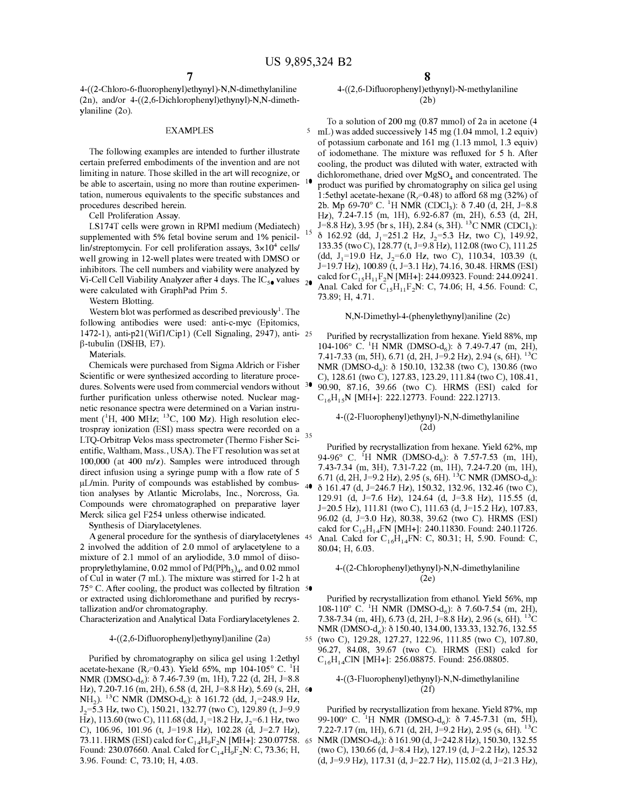4-((2-Chloro-6-fluorophenyl)ethynyl)-N,N-dimethylaniline (2n), and/or 4-((2,6-Dichlorophenyl)ethynyl)-N,N-dimethylaniline (2o).

### EXAMPLES

The following examples are intended to further illustrate certain preferred embodiments of the invention and are not limiting in nature. Those skilled in the art will recognize, or be able to ascertain, using no more than routine experimen- <sup>10</sup> tation, numerous equivalents to the specific substances and procedures described herein.

Cell Proliferation Assay.

LS174T cells were grown in RPMI medium (Mediatech)  $15$  supplemented with 5% fetal bovine serum and 1% penicillin/streptomycin. For cell proliferation assays,  $3\times10^4$  cells/ well growing in 12-well plates were treated with DMSO or inhibitors. The cell numbers and viability were analyzed by Vi-Cell Cell Viability Analyzer after 4 days. The  $IC_{50}$  values  $_{20}$ were calculated with GraphPad Prim 5.

Western Blotting.

Western blot was performed as described previously<sup>1</sup>. The following antibodies were used: anti-c-myc (Epitomics, 1472-1), anti-p21(Wifl/Cipl) (Cell Signaling, 2947), anti- 25 �-tubulin (DSHB, E7).

Materials.

Chemicals were purchased from Sigma Aldrich or Fisher Scientific or were synthesized according to literature procedures. Solvents were used from commercial vendors without <sup>30</sup> further purification unless otherwise noted. Nuclear magnetic resonance spectra were determined on a Varian instrument (<sup>1</sup>H, 400 MHz; <sup>13</sup>C, 100 Mz). High resolution electrospray ionization (ESI) mass spectra were recorded on a LTQ-Orbitrap Velos mass spectrometer (Thermo Fisher Sci-35 entific, Waltham, Mass., USA). The FT resolution was set at 100,000 (at 400 m/z). Samples were introduced through direct infusion using a syringe pump with a flow rate of 5  $\mu$ L/min. Purity of compounds was established by combustion analyses by Atlantic Microlabs, Inc., Norcross, Ga. Compounds were chromatographed on preparative layer Merck silica gel F254 unless otherwise indicated.

Synthesis of Diarylacetylenes.

A general procedure for the synthesis of diarylacetylenes 45 2 involved the addition of 2.0 mmol of arylacetylene to a mixture of 2.1 mmol of an aryliodide, 3.0 mmol of diisoproprylethylamine,  $0.02$  mmol of  $Pd(PPh<sub>3</sub>)<sub>4</sub>$ , and  $0.02$  mmol of Cul in water (7 mL). The mixture was stirred for 1-2 h at 75° C. After cooling, the product was collected by filtration 50 or extracted using dichloromethane and purified by recrystallization and/or chromatography.

Characterization and Analytical Data Fordiarylacetylenes 2.

Purified by chromatography on silica gel using 1:2ethyl  $C_{16}H_{14}CN$  [MH+]: 256.08875. Found: 256.08805. acetate-hexane (R<sub>f</sub>=0.43). Yield 65%, mp 104-105° C. <sup>1</sup>H NMR (DMSO-d<sub>6</sub>): 8 7.46-7.39 (m, 1H), 7.22 (d, 2H, J=8.8 Hz), 7.20-7.16 (m, 2H), 6.58 (d, 2H, 1=8.8 Hz), 5.69 (s, 2H, 60 NH<sub>2</sub>). <sup>13</sup>C NMR (DMSO-d<sub>6</sub>):  $\delta$  161.72 (dd, J<sub>1</sub>=248.9 Hz, *12 <sup>=</sup>5.3* Hz, two C), 150.21, 132.77 (two C), 129.89 (t, *1=9.9*   $\hat{H}$ z), 113.60 (two C), 111.68 (dd, J<sub>1</sub>=18.2 Hz, J<sub>2</sub>=6.1 Hz, two C), 106.96, 101.96 (t, 1=19.8 Hz), 102.28 (d, *1=2.7* Hz), 73.11. HRMS (ESI) calcd for  $C_{14}H_9F_2N$  [MH+]: 230.07758. 65 Found: 230.07660. Anal. Calcd for  $C_{14}H_9F_2N$ : C, 73.36; H, 3.96. Found: C, 73.10; H, 4.03.

### 4-((2,6-Difluorophenyl)ethynyl)-N-methylaniline (2b)

To a solution of 200 mg (0.87 mmol) of 2a in acetone ( 4 5 mL) was added successively 145 mg (1.04 mmol, 1.2 equiv) of potassium carbonate and 161 mg (1.13 mmol, 1.3 equiv) of iodomethane. The mixture was refluxed for 5 h. After cooling, the product was diluted with water, extracted with dichloromethane, dried over  $MgSO<sub>4</sub>$  and concentrated. The product was purified by chromatography on silica gel using 1:5ethyl acetate-hexane  $(R_f=0.48)$  to afford 68 mg (32%) of 2b. Mp 69-70° C. <sup>1</sup>H NMR (CDCl<sub>3</sub>):  $\delta$  7.40 (d, 2H, J=8.8 Hz), 7.24-7.15 (m, lH), 6.92-6.87 (m, 2H), 6.53 (d, 2H, J=8.8 Hz), 3.95 (br s, 1H), 2.84 (s, 3H). <sup>13</sup>C NMR (CDCl<sub>3</sub>):  $\delta$  162.92 (dd,  $J_1 = 251.2$  Hz,  $J_2 = 5.3$  Hz, two C), 149.92, 133.35 (two C), 128.77 (t, 1=9.8 Hz), 112.08 (two C), 111.25 (dd,  $J_1=19.0$  Hz,  $J_2=6.0$  Hz, two C), 110.34, 103.39 (t, 1=19.7 Hz), 100.89 (t, 1=3.1 Hz), 74.16, 30.48. HRMS (ESI) calcd for  $C_{15}H_{11}F_2N$  [MH+]: 244.09323. Found: 244.09241. Anal. Calcd for  $C_{15}H_{11}F_{2}N: C$ , 74.06; H, 4.56. Found: C, 73.89; H, 4.71.

### N,N-Dimethyl-4-(phenylethynyl)aniline (2c)

Purified by recrystallization from hexane. Yield 88%, mp  $104-106$ ° C. <sup>1</sup>H NMR (DMSO-d<sub>6</sub>):  $\delta$  7.49-7.47 (m, 2H), 7.41-7.33 (m, *SH),* 6.71 (d, 2H, *1=9.2* Hz), 2.94 (s, 6H). <sup>13</sup>C NMR (DMSO-d<sub>6</sub>):  $\delta$  150.10, 132.38 (two C), 130.86 (two C), 128.61 (two C), 127.83, 123.29, 111.84 (two C), 108.41, 90.90, 87.16, 39.66 (two C). HRMS (ESI) calcd for  $C_{16}H_{15}N$  [MH+]: 222.12773. Found: 222.12713.

### 4-((2-Fluorophenyl)ethynyl)-N,N-dimethylaniline (2d)

Purified by recrystallization from hexane. Yield 62%, mp 94-96° C. <sup>I</sup>H NMR (DMSO-d<sub>6</sub>):  $\delta$  7.57-7.53 (m, 1H), 7.43-7.34 (m, 3H), 7.31-7.22 (m, lH), 7.24-7.20 (m, lH), 6.71 (d, 2H, J=9.2 Hz), 2.95 (s, 6H). <sup>13</sup>C NMR (DMSO-d<sub>6</sub>): ll 161.47 (d, *1=246.7* Hz), 150.32, 132.96, 132.46 (two C), 129.91 (d, *1=7.6* Hz), 124.64 (d, 1=3.8 Hz), 115.55 (d, *1=20.5* Hz), 111.81 (two C), 111.63 (d, 1=15.2 Hz), 107.83, 96.02 (d, *1=3.0* Hz), 80.38, 39.62 (two C). HRMS (ESI) calcd for  $C_{16}H_{14}FN$  [MH+]: 240.11830. Found: 240.11726. Anal. Calcd for C<sub>16</sub>H<sub>14</sub>FN: C, 80.31; H, 5.90. Found: C, 80.04; H, 6.03.

### 4-((2-Chlorophenyl)ethynyl)-N,N-dimethylaniline (2e)

Purified by recrystallization from ethanol. Yield 56%, mp 108-110° C. <sup>1</sup>H NMR (DMSO-d<sub>6</sub>):  $\delta$  7.60-7.54 (m, 2H), 7.38-7.34 (m, 4H), 6.73 (d, 2H, 1=8.8 Hz), 2.96 (s, 6H). <sup>13</sup>C NMR (DMSO-d<sup>6</sup> ): ll 150.40, 134.00, 133.33, 132.76, 132.55 4-((2,6-Difluorophenyl)ethynyl)aniline (2a) 55 (two C), 129.28, 127.27, 122.96, 111.85 (two C), 107.80, 96.27, 84.08, 39.67 (two C). HRMS (ESI) calcd for

### 4-((3-Fluorophenyl)ethynyl)-N,N-dimethylaniline (2f)

Purified by recrystallization from hexane. Yield 87%, mp 99-100° C. <sup>1</sup>H NMR (DMSO-d<sub>6</sub>):  $\delta$  7.45-7.31 (m, 5H), 7.22-7.17 (m, lH), 6.71 (d, 2H, *1=9.2* Hz), 2.95 (s, 6H). <sup>13</sup>C NMR (DMSO-d<sup>6</sup> ): ll 161.90 (d, 1=242.8 Hz), 150.30, 132.55 (two C), 130.66 (d, 1=8.4 Hz), 127.19 (d, *1=2.2* Hz), 125.32 (d, *1=9.9* Hz), 117.31 (d, *1=22.7* Hz), 115.02 (d, 1=21.3 Hz),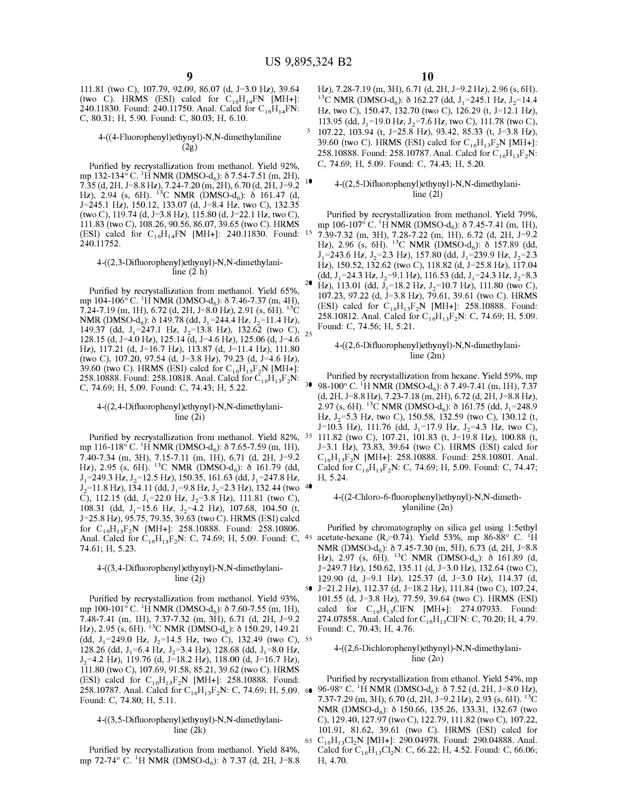111.81 (two C), 107.79, 92.09, 86.07 (d, *1=3.0* Hz), 39.64 (two C). HRMS (ESI) calcd for  $C_{16}H_{14}FN$  [MH+]: 240.11830. Found: 240.11750. Anal. Calcd for  $C_{16}H_{14}FN$ : C, 80.31; H, 5.90. Found: C, 80.03; H, 6.10.

### 4-((4-Fluorophenyl)ethynyl)-N,N-dimethy laniline (2g)

Purified by recrystallization from methanol. Yield 92%, mp 132-134° C. <sup>1</sup>H NMR (DMSO-d<sub>6</sub>):  $\delta$  7.54-7.51 (m, 2H), 7.35 (d, 2H, 1=8.8 Hz), 7.24-7.20 (m, 2H), 6.70 (d, 2H, *1=9.2* <sup>10</sup> Hz), 2.94 (s, 6H). <sup>13</sup>C NMR (DMSO-d<sub>6</sub>):  $\delta$  161.47 (d, 1=245.l Hz), 150.12, 133.07 (d, 1=8.4 Hz, two C), 132.35 (two C), 119.74 (d, J=3.8 Hz), 115.80 (d, J=22.1 Hz, two C), 111.83 (two C), 108.26, 90.56, 86.07, 39.65 (two C). HRMS (ESI) calcd for  $C_{16}H_{14}FN$  [MH+]: 240.11830. Found: 15 240.11752.

### 4-((2,3-Difluorophenyl)ethynyl)-N,N-dimethylaniline (2 h)

Purified by recrystallization from methanol. Yield 65%, mp 104-106°C. <sup>1</sup>H NMR (DMSO-d<sub>6</sub>):  $\delta$  7.46-7.37 (m, 4H), 7.24-7.19 (m, lH), 6.72 (d, 2H, 1=8.0 Hz), 2.91 (s, 6H). <sup>1</sup> 3 C NMR (DMSO- $d_6$ ):  $\delta$  149.78 (dd, J<sub>1</sub>=244.4 Hz, J<sub>2</sub>=11.4 Hz), 149.37 (dd, 1<sup>1</sup> <sup>=</sup>247.1 Hz, 1<sup>2</sup> <sup>=</sup>13.8 Hz), 132.62 (two C), 25 128.15 (d, *1=4.0* Hz), 125.14 (d, *1=4.6* Hz), 125.06 (d, *1=4.6* Hz), 117.21 (d, 1=16.7 Hz), 113.87 (d, 1=11.4 Hz), 111.80 (two C), 107.20, 97.54 (d, 1=3.8 Hz), 79.23 (d, *1=4.6* Hz), 39.60 (two C). HRMS (ESI) calcd for  $C_{16}H_{13}F_2N$  [MH+]: 258.10888. Found: 258.10818. Anal. Calcd for  $C_{16}H_{13}F_2N$ : C, 74.69; H, 5.09. Found: C, 74.43; H, 5.22.

### 4-((2,4-Difluorophenyl)ethynyl)-N,N-dimethylaniline (2i)

Purified by recrystallization from methanol. Yield 82%, mp 116-118° C. <sup>1</sup>H NMR (DMSO-d<sub>6</sub>):  $\delta$  7.65-7.59 (m, 1H), 7.40-7.34 (m, 3H), 7.15-7.11 (m, lH), 6.71 (d, 2H, *1=9.2* Hz), 2.95 (s, 6H). <sup>13</sup>C NMR (DMSO-d<sub>6</sub>):  $\delta$  161.79 (dd,  $J_1$ =249.3 Hz,  $J_2$ =12.5 Hz), 150.35, 161.63 (dd,  $J_1$ =247.8 Hz, *I*<sub>2</sub>=11.8 Hz), 134.11 (dd, J<sub>1</sub>=9.8 Hz, J<sub>2</sub>=2.3 Hz), 132.44 (two <sup>4●</sup> C), 112.15 (dd, J<sub>1</sub>=22.0 Hz, J<sub>2</sub>=3.8 Hz), 111.81 (two C), 108.31 (dd, J<sub>1</sub>=15.6 Hz, J<sub>2</sub>=4.2 Hz), 107.68, 104.50 (t, 1=25.8 Hz), 95.75, 79.35, 39.63 (two C). HRMS (ESI) calcd for  $C_{16}H_{13}F_2N$  [MH+]: 258.10888. Found: 258.10806. Anal. Calcd for  $C_{16}H_{13}F_2N$ : C, 74.69; H, 5.09. Found: C, <sup>45</sup> acetate-hexane (R<sub>f</sub>=0.74). Yield 53%, mp 86-88° C. <sup>1</sup>H 74.61; H, 5.23.

### 4-((3,4-Difluorophenyl)ethynyl)-N,N-dimethylaniline  $(2<sub>i</sub>)$

Purified by recrystallization from methanol. Yield 93%, mp 100-101° C. <sup>1</sup>H NMR (DMSO-d<sub>6</sub>):  $\delta$  7.60-7.55 (m, 1H), 7.48-7.41 (m, lH), 7.37-7.32 (m, 3H), 6.71 (d, 2H, *1=9.2* Hz), 2.95 (s, 6H). <sup>13</sup>C NMR (DMSO-d<sub>6</sub>):  $\delta$  150.29, 149.21 (dd, J<sub>1</sub>=249.0 Hz, J<sub>2</sub>=14.5 Hz, two C), 132.49 (two C), 55 128.26 (dd, J<sub>1</sub>=6.4 Hz, J<sub>2</sub>=3.4 Hz), 128.68 (dd, J<sub>1</sub>=8.0 Hz, *12 <sup>=</sup>4.2* Hz), 119.76 (d, 1=18.2 Hz), 118.00 (d, 1=16.7 Hz), 111.80 (two C), 107.69, 91.58, 85.21, 39.62 (two C). HRMS (ESI) calcd for  $C_{16}H_{13}F_2N$  [MH+]: 258.10888. Found: Found: C, 74.80; H, 5.11.

### 4-((3,5-Difluorophenyl)ethynyl)-N,N-dimethylaniline (2k)

Purified by recrystallization from methanol. Yield 84%, mp 72-74° C. <sup>1</sup>H NMR (DMSO-d<sub>6</sub>):  $\delta$  7.37 (d, 2H, J=8.8

Hz), 7.28-7.19 (m, 3H), 6.71 (d, 2H, *1=9.2* Hz), 2.96 (s, 6H). <sup>13</sup>C NMR (DMSO-d<sub>6</sub>):  $\delta$  162.27 (dd, J<sub>1</sub>=245.1 Hz, J<sub>2</sub>=14.4 Hz, two C), 150.47, 132.70 (two C), 126.29 (t, 1=12.1 Hz), 113.95 (dd, J<sub>1</sub>=19.0 Hz, J<sub>2</sub>=7.6 Hz, two C), 111.78 (two C),  $5$  107.22, 103.94 (t, J=25.8 Hz), 93.42, 85.33 (t, J=3.8 Hz), 39.60 (two C). HRMS (ESI) calcd for  $C_{16}H_{13}F_2N$  [MH+]: 258.10888. Found: 258.10787. Anal. Calcd for  $C_{16}H_{13}F_2N$ : C, 74.69; H, 5.09. Found: C, 74.43; H, 5.20.

### 4-((2,5-Difluorophenyl)ethynyl)-N,N-dimethylaniline (21)

Purified by recrystallization from methanol. Yield 79%, mp 106-107° C. <sup>1</sup>H NMR (DMSO-d<sub>6</sub>):  $\delta$  7.45-7.41 (m, 1H), 7.39-7.32 (m, 3H), 7.28-7.22 (m, lH), 6.72 (d, 2H, *1=9.2* Hz), 2.96 (s, 6H). <sup>13</sup>C NMR (DMSO-d<sub>6</sub>):  $\delta$  157.89 (dd, \=243.6 Hz, *1<sup>2</sup> <sup>=</sup>2.3* Hz), 157.80 (dd, \<sup>=</sup>239.9 Hz, *1<sup>2</sup> <sup>=</sup>2.3* Hz), 150.52, 132.62 (two C), 118.82 (d, 1=25.8 Hz), 117.04  $(dd, J_1=24.3 \text{ Hz}, J_2=9.1 \text{ Hz}), 116.53 \text{ (dd, } J_1=24.3 \text{ Hz}, J_2=8.3$ <sup>20</sup> Hz), 113.01 (dd,  $J_1$ =18.2 Hz,  $J_2$ =10.7 Hz), 111.80 (two C), 107.23, 97.22 (d, 1=3.8 Hz), 79.61, 39.61 (two C). HRMS (ESI) calcd for  $C_{16}H_{13}F_2N$  [MH+]: 258.10888. Found: 258.10812. Anal. Calcd for  $C_{16}H_{13}F_2N$ : C, 74.69; H, 5.09. Found: C, 74.56; H, 5.21.

### 4-((2,6-Difluorophenyl)ethynyl)-N,N-dimethylaniline (2m)

Purified by recrystallization from hexane. Yield 59%, mp 98-100° C. <sup>1</sup>H NMR (DMSO-d<sub>6</sub>):  $\delta$  7.49-7.41 (m, 1H), 7.37 (d, 2H, 1=8.8 Hz), 7.23-7.18 (m, 2H), 6.72 (d, 2H, 1=8.8 Hz),  $2.97$  (s, 6H). <sup>13</sup>C NMR (DMSO-d<sub>6</sub>):  $\delta$  161.75 (dd, J<sub>1</sub>=248.9) Hz, *1<sup>2</sup> <sup>=</sup>5.3* Hz, two C), 150.58, 132.59 (two C), 130.12 (t, J=10.3 Hz), 111.76 (dd, J<sub>1</sub>=17.9 Hz, J<sub>2</sub>=4.3 Hz, two C), 35 111.82 (two C), 107.21, 101.83 (t, 1=19.8 Hz), 100.88 (t, *1=3.l* Hz), 73.83, 39.64 (two C). HRMS (ESI) calcd for  $C_{16}H_{13}F_2N$  [MH+]: 258.10888. Found: 258.10801. Anal. Calcd for  $C_{16}H_{13}F_2N$ : C, 74.69; H, 5.09. Found: C, 74.47; H, 5.24.

### 4-( (2-Chloro-6-fluoropheny l)ethynyl )-N,N-dimeth $v$ laniline  $(2n)$

Purified by chromatography on silica gel using 1:5ethyl NMR (DMSO-d<sub>6</sub>):  $\delta$  7.45-7.30 (m, 5H), 6.73 (d, 2H, J=8.8 Hz), 2.97 (s, 6H). <sup>13</sup>C NMR (DMSO-d<sub>6</sub>):  $\delta$  161.89 (d, *1=249.7* Hz), 150.62, 135.11 (d, *1=3.0* Hz), 132.64 (two C), 129.90 (d, 1=9.1 Hz), 125.37 (d, *1=3.0* Hz), 114.37 (d, 50 *1=21.2* Hz), 112.37 (d, 1=18.2 Hz), 111.84 (two C), 107.24, 101.55 (d, 1=3.8 Hz), 77.59, 39.64 (two C). HRMS (ESI) calcd for  $C_{16}H_{13}CIFN$  [MH+]: 274.07933. Found: 274.07858. Anal. Calcd for  $C_{16}H_{13}C$ IFN: C, 70.20; H, 4.79. Found: C, 70.43; H, 4.76.

### 4-((2,6-Dichlorophenyl)ethynyl)-N,N-dimethylaniline (2o)

258.10787. Anal. Calcd for  $C_{16}H_{13}F_2N$ : C, 74.69; H, 5.09. 60 96-98° C. <sup>1</sup>H NMR (DMSO-d<sub>6</sub>):  $\delta$  7.52 (d, 2H, J=8.0 Hz), Purified by recrystallization from ethanol. Yield 54%, mp 7.37-7.29 (m, 3H), 6.70 (d, 2H, *1=9.2* Hz), 2.93 (s, 6H). <sup>1</sup> 3 C NMR (DMSO-d<sub>6</sub>):  $\delta$  150.66, 135.26, 133.31, 132.67 (two C), 129.40, 127.97 (two C), 122.79, 111.82 (two C), 107.22, 101.91, 81.62, 39.61 (two C). HRMS (ESI) calcd for 65  $C_{16}H_{13}Cl_2N$  [MH+]: 290.04978. Found: 290.04888. Anal. Calcd for  $C_{16}H_{13}Cl_2N$ : C, 66.22; H, 4.52. Found: C, 66.06; H, 4.70.